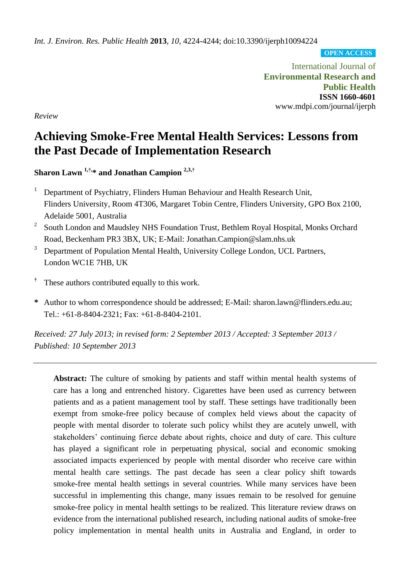*Int. J. Environ. Res. Public Health* **2013**, *10*, 4224-4244; doi:10.3390/ijerph10094224

**OPEN ACCESS**

International Journal of **Environmental Research and Public Health ISSN 1660-4601** www.mdpi.com/journal/ijerph

*Review*

# **Achieving Smoke-Free Mental Health Services: Lessons from the Past Decade of Implementation Research**

**Sharon Lawn 1,†, \* and Jonathan Campion 2,3,†**

- <sup>1</sup> Department of Psychiatry, Flinders Human Behaviour and Health Research Unit, Flinders University, Room 4T306, Margaret Tobin Centre, Flinders University, GPO Box 2100, Adelaide 5001, Australia
- 2 South London and Maudsley NHS Foundation Trust, Bethlem Royal Hospital, Monks Orchard Road, Beckenham PR3 3BX, UK; E-Mail: Jonathan.Campion@slam.nhs.uk
- <sup>3</sup> Department of Population Mental Health, University College London, UCL Partners, London WC1E 7HB, UK
- **†** These authors contributed equally to this work.
- **\*** Author to whom correspondence should be addressed; E-Mail: sharon.lawn@flinders.edu.au; Tel.: +61-8-8404-2321; Fax: +61-8-8404-2101.

*Received: 27 July 2013; in revised form: 2 September 2013 / Accepted: 3 September 2013 / Published: 10 September 2013*

**Abstract:** The culture of smoking by patients and staff within mental health systems of care has a long and entrenched history. Cigarettes have been used as currency between patients and as a patient management tool by staff. These settings have traditionally been exempt from smoke-free policy because of complex held views about the capacity of people with mental disorder to tolerate such policy whilst they are acutely unwell, with stakeholders' continuing fierce debate about rights, choice and duty of care. This culture has played a significant role in perpetuating physical, social and economic smoking associated impacts experienced by people with mental disorder who receive care within mental health care settings. The past decade has seen a clear policy shift towards smoke-free mental health settings in several countries. While many services have been successful in implementing this change, many issues remain to be resolved for genuine smoke-free policy in mental health settings to be realized. This literature review draws on evidence from the international published research, including national audits of smoke-free policy implementation in mental health units in Australia and England, in order to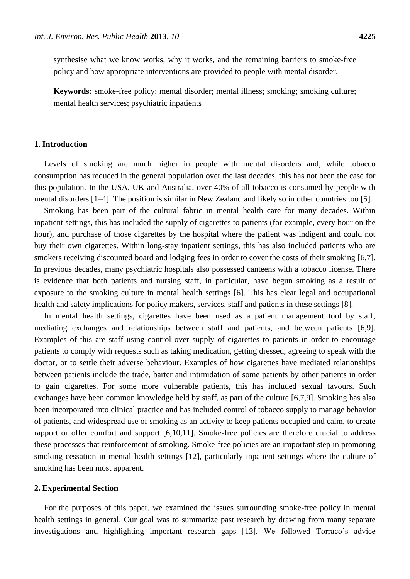synthesise what we know works, why it works, and the remaining barriers to smoke-free policy and how appropriate interventions are provided to people with mental disorder.

**Keywords:** smoke-free policy; mental disorder; mental illness; smoking; smoking culture; mental health services; psychiatric inpatients

## **1. Introduction**

Levels of smoking are much higher in people with mental disorders and, while tobacco consumption has reduced in the general population over the last decades, this has not been the case for this population. In the USA, UK and Australia, over 40% of all tobacco is consumed by people with mental disorders [1–4]. The position is similar in New Zealand and likely so in other countries too [5].

Smoking has been part of the cultural fabric in mental health care for many decades. Within inpatient settings, this has included the supply of cigarettes to patients (for example, every hour on the hour), and purchase of those cigarettes by the hospital where the patient was indigent and could not buy their own cigarettes. Within long-stay inpatient settings, this has also included patients who are smokers receiving discounted board and lodging fees in order to cover the costs of their smoking [6,7]. In previous decades, many psychiatric hospitals also possessed canteens with a tobacco license. There is evidence that both patients and nursing staff, in particular, have begun smoking as a result of exposure to the smoking culture in mental health settings [6]. This has clear legal and occupational health and safety implications for policy makers, services, staff and patients in these settings [8].

In mental health settings, cigarettes have been used as a patient management tool by staff, mediating exchanges and relationships between staff and patients, and between patients [6,9]. Examples of this are staff using control over supply of cigarettes to patients in order to encourage patients to comply with requests such as taking medication, getting dressed, agreeing to speak with the doctor, or to settle their adverse behaviour. Examples of how cigarettes have mediated relationships between patients include the trade, barter and intimidation of some patients by other patients in order to gain cigarettes. For some more vulnerable patients, this has included sexual favours. Such exchanges have been common knowledge held by staff, as part of the culture [6,7,9]. Smoking has also been incorporated into clinical practice and has included control of tobacco supply to manage behavior of patients, and widespread use of smoking as an activity to keep patients occupied and calm, to create rapport or offer comfort and support [6,10,11]. Smoke-free policies are therefore crucial to address these processes that reinforcement of smoking. Smoke-free policies are an important step in promoting smoking cessation in mental health settings [12], particularly inpatient settings where the culture of smoking has been most apparent.

#### **2. Experimental Section**

For the purposes of this paper, we examined the issues surrounding smoke-free policy in mental health settings in general. Our goal was to summarize past research by drawing from many separate investigations and highlighting important research gaps [13]. We followed Torraco's advice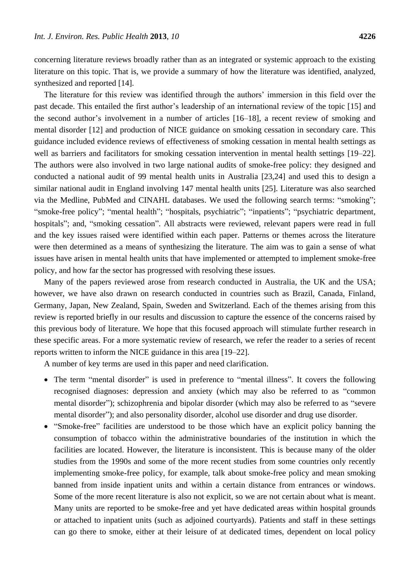concerning literature reviews broadly rather than as an integrated or systemic approach to the existing literature on this topic. That is, we provide a summary of how the literature was identified, analyzed, synthesized and reported [14].

The literature for this review was identified through the authors' immersion in this field over the past decade. This entailed the first author's leadership of an international review of the topic [15] and the second author's involvement in a number of articles [16–18], a recent review of smoking and mental disorder [12] and production of NICE guidance on smoking cessation in secondary care. This guidance included evidence reviews of effectiveness of smoking cessation in mental health settings as well as barriers and facilitators for smoking cessation intervention in mental health settings [19–22]. The authors were also involved in two large national audits of smoke-free policy: they designed and conducted a national audit of 99 mental health units in Australia [23,24] and used this to design a similar national audit in England involving 147 mental health units [25]. Literature was also searched via the Medline, PubMed and CINAHL databases. We used the following search terms: "smoking"; "smoke-free policy"; "mental health"; "hospitals, psychiatric"; "inpatients"; "psychiatric department, hospitals"; and, "smoking cessation". All abstracts were reviewed, relevant papers were read in full and the key issues raised were identified within each paper. Patterns or themes across the literature were then determined as a means of synthesizing the literature. The aim was to gain a sense of what issues have arisen in mental health units that have implemented or attempted to implement smoke-free policy, and how far the sector has progressed with resolving these issues.

Many of the papers reviewed arose from research conducted in Australia, the UK and the USA; however, we have also drawn on research conducted in countries such as Brazil, Canada, Finland, Germany, Japan, New Zealand, Spain, Sweden and Switzerland. Each of the themes arising from this review is reported briefly in our results and discussion to capture the essence of the concerns raised by this previous body of literature. We hope that this focused approach will stimulate further research in these specific areas. For a more systematic review of research, we refer the reader to a series of recent reports written to inform the NICE guidance in this area [19–22].

A number of key terms are used in this paper and need clarification.

- The term "mental disorder" is used in preference to "mental illness". It covers the following recognised diagnoses: depression and anxiety (which may also be referred to as "common mental disorder"); schizophrenia and bipolar disorder (which may also be referred to as "severe mental disorder"); and also personality disorder, alcohol use disorder and drug use disorder.
- "Smoke-free" facilities are understood to be those which have an explicit policy banning the consumption of tobacco within the administrative boundaries of the institution in which the facilities are located. However, the literature is inconsistent. This is because many of the older studies from the 1990s and some of the more recent studies from some countries only recently implementing smoke-free policy, for example, talk about smoke-free policy and mean smoking banned from inside inpatient units and within a certain distance from entrances or windows. Some of the more recent literature is also not explicit, so we are not certain about what is meant. Many units are reported to be smoke-free and yet have dedicated areas within hospital grounds or attached to inpatient units (such as adjoined courtyards). Patients and staff in these settings can go there to smoke, either at their leisure of at dedicated times, dependent on local policy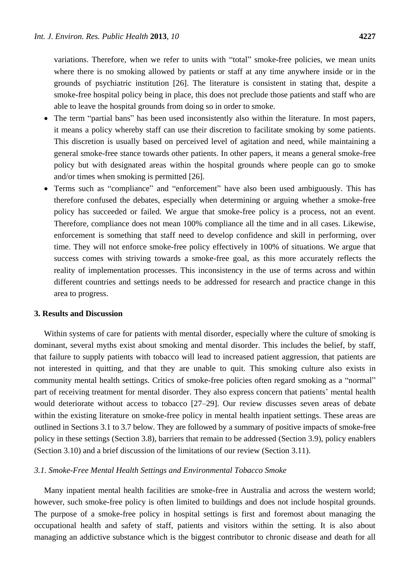variations. Therefore, when we refer to units with "total" smoke-free policies, we mean units where there is no smoking allowed by patients or staff at any time anywhere inside or in the grounds of psychiatric institution [26]. The literature is consistent in stating that, despite a smoke-free hospital policy being in place, this does not preclude those patients and staff who are able to leave the hospital grounds from doing so in order to smoke.

- The term "partial bans" has been used inconsistently also within the literature. In most papers, it means a policy whereby staff can use their discretion to facilitate smoking by some patients. This discretion is usually based on perceived level of agitation and need, while maintaining a general smoke-free stance towards other patients. In other papers, it means a general smoke-free policy but with designated areas within the hospital grounds where people can go to smoke and/or times when smoking is permitted [26].
- Terms such as "compliance" and "enforcement" have also been used ambiguously. This has therefore confused the debates, especially when determining or arguing whether a smoke-free policy has succeeded or failed. We argue that smoke-free policy is a process, not an event. Therefore, compliance does not mean 100% compliance all the time and in all cases. Likewise, enforcement is something that staff need to develop confidence and skill in performing, over time. They will not enforce smoke-free policy effectively in 100% of situations. We argue that success comes with striving towards a smoke-free goal, as this more accurately reflects the reality of implementation processes. This inconsistency in the use of terms across and within different countries and settings needs to be addressed for research and practice change in this area to progress.

## **3. Results and Discussion**

Within systems of care for patients with mental disorder, especially where the culture of smoking is dominant, several myths exist about smoking and mental disorder. This includes the belief, by staff, that failure to supply patients with tobacco will lead to increased patient aggression, that patients are not interested in quitting, and that they are unable to quit. This smoking culture also exists in community mental health settings. Critics of smoke-free policies often regard smoking as a "normal" part of receiving treatment for mental disorder. They also express concern that patients' mental health would deteriorate without access to tobacco [27–29]. Our review discusses seven areas of debate within the existing literature on smoke-free policy in mental health inpatient settings. These areas are outlined in Sections 3.1 to 3.7 below. They are followed by a summary of positive impacts of smoke-free policy in these settings (Section 3.8), barriers that remain to be addressed (Section 3.9), policy enablers (Section 3.10) and a brief discussion of the limitations of our review (Section 3.11).

## *3.1. Smoke-Free Mental Health Settings and Environmental Tobacco Smoke*

Many inpatient mental health facilities are smoke-free in Australia and across the western world; however, such smoke-free policy is often limited to buildings and does not include hospital grounds. The purpose of a smoke-free policy in hospital settings is first and foremost about managing the occupational health and safety of staff, patients and visitors within the setting. It is also about managing an addictive substance which is the biggest contributor to chronic disease and death for all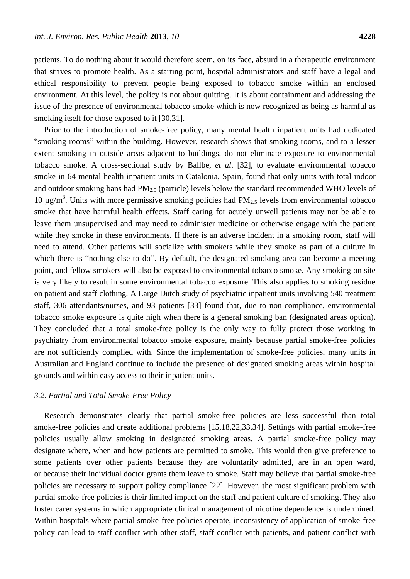patients. To do nothing about it would therefore seem, on its face, absurd in a therapeutic environment that strives to promote health. As a starting point, hospital administrators and staff have a legal and ethical responsibility to prevent people being exposed to tobacco smoke within an enclosed environment. At this level, the policy is not about quitting. It is about containment and addressing the issue of the presence of environmental tobacco smoke which is now recognized as being as harmful as smoking itself for those exposed to it [30,31].

Prior to the introduction of smoke-free policy, many mental health inpatient units had dedicated "smoking rooms" within the building. However, research shows that smoking rooms, and to a lesser extent smoking in outside areas adjacent to buildings, do not eliminate exposure to environmental tobacco smoke. A cross-sectional study by Ballbe, *et al*. [32], to evaluate environmental tobacco smoke in 64 mental health inpatient units in Catalonia, Spain, found that only units with total indoor and outdoor smoking bans had  $PM_{2.5}$  (particle) levels below the standard recommended WHO levels of 10  $\mu$ g/m<sup>3</sup>. Units with more permissive smoking policies had PM<sub>2.5</sub> levels from environmental tobacco smoke that have harmful health effects. Staff caring for acutely unwell patients may not be able to leave them unsupervised and may need to administer medicine or otherwise engage with the patient while they smoke in these environments. If there is an adverse incident in a smoking room, staff will need to attend. Other patients will socialize with smokers while they smoke as part of a culture in which there is "nothing else to do". By default, the designated smoking area can become a meeting point, and fellow smokers will also be exposed to environmental tobacco smoke. Any smoking on site is very likely to result in some environmental tobacco exposure. This also applies to smoking residue on patient and staff clothing. A Large Dutch study of psychiatric inpatient units involving 540 treatment staff, 306 attendants/nurses, and 93 patients [33] found that, due to non-compliance, environmental tobacco smoke exposure is quite high when there is a general smoking ban (designated areas option). They concluded that a total smoke-free policy is the only way to fully protect those working in psychiatry from environmental tobacco smoke exposure, mainly because partial smoke-free policies are not sufficiently complied with. Since the implementation of smoke-free policies, many units in Australian and England continue to include the presence of designated smoking areas within hospital grounds and within easy access to their inpatient units.

### *3.2. Partial and Total Smoke-Free Policy*

Research demonstrates clearly that partial smoke-free policies are less successful than total smoke-free policies and create additional problems [15,18,22,33,34]. Settings with partial smoke-free policies usually allow smoking in designated smoking areas. A partial smoke-free policy may designate where, when and how patients are permitted to smoke. This would then give preference to some patients over other patients because they are voluntarily admitted, are in an open ward, or because their individual doctor grants them leave to smoke. Staff may believe that partial smoke-free policies are necessary to support policy compliance [22]. However, the most significant problem with partial smoke-free policies is their limited impact on the staff and patient culture of smoking. They also foster carer systems in which appropriate clinical management of nicotine dependence is undermined. Within hospitals where partial smoke-free policies operate, inconsistency of application of smoke-free policy can lead to staff conflict with other staff, staff conflict with patients, and patient conflict with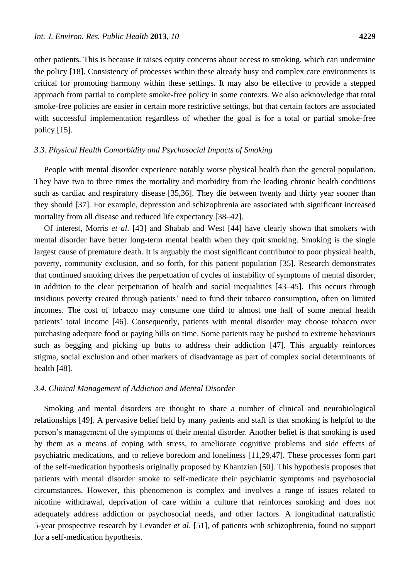other patients. This is because it raises equity concerns about access to smoking, which can undermine the policy [18]. Consistency of processes within these already busy and complex care environments is critical for promoting harmony within these settings. It may also be effective to provide a stepped approach from partial to complete smoke-free policy in some contexts. We also acknowledge that total smoke-free policies are easier in certain more restrictive settings, but that certain factors are associated with successful implementation regardless of whether the goal is for a total or partial smoke-free policy [15].

# *3.3. Physical Health Comorbidity and Psychosocial Impacts of Smoking*

People with mental disorder experience notably worse physical health than the general population. They have two to three times the mortality and morbidity from the leading chronic health conditions such as cardiac and respiratory disease [35,36]. They die between twenty and thirty year sooner than they should [37]. For example, depression and schizophrenia are associated with significant increased mortality from all disease and reduced life expectancy [38–42].

Of interest, Morris *et al*. [43] and Shabab and West [44] have clearly shown that smokers with mental disorder have better long-term mental health when they quit smoking. Smoking is the single largest cause of premature death. It is arguably the most significant contributor to poor physical health, poverty, community exclusion, and so forth, for this patient population [35]. Research demonstrates that continued smoking drives the perpetuation of cycles of instability of symptoms of mental disorder, in addition to the clear perpetuation of health and social inequalities [43–45]. This occurs through insidious poverty created through patients' need to fund their tobacco consumption, often on limited incomes. The cost of tobacco may consume one third to almost one half of some mental health patients' total income [46]. Consequently, patients with mental disorder may choose tobacco over purchasing adequate food or paying bills on time. Some patients may be pushed to extreme behaviours such as begging and picking up butts to address their addiction [47]. This arguably reinforces stigma, social exclusion and other markers of disadvantage as part of complex social determinants of health [48].

#### *3.4. Clinical Management of Addiction and Mental Disorder*

Smoking and mental disorders are thought to share a number of clinical and neurobiological relationships [49]. A pervasive belief held by many patients and staff is that smoking is helpful to the person's management of the symptoms of their mental disorder. Another belief is that smoking is used by them as a means of coping with stress, to ameliorate cognitive problems and side effects of psychiatric medications, and to relieve boredom and loneliness [11,29,47]. These processes form part of the self-medication hypothesis originally proposed by Khantzian [50]. This hypothesis proposes that patients with mental disorder smoke to self-medicate their psychiatric symptoms and psychosocial circumstances. However, this phenomenon is complex and involves a range of issues related to nicotine withdrawal, deprivation of care within a culture that reinforces smoking and does not adequately address addiction or psychosocial needs, and other factors. A longitudinal naturalistic 5-year prospective research by Levander *et al*. [51], of patients with schizophrenia, found no support for a self-medication hypothesis.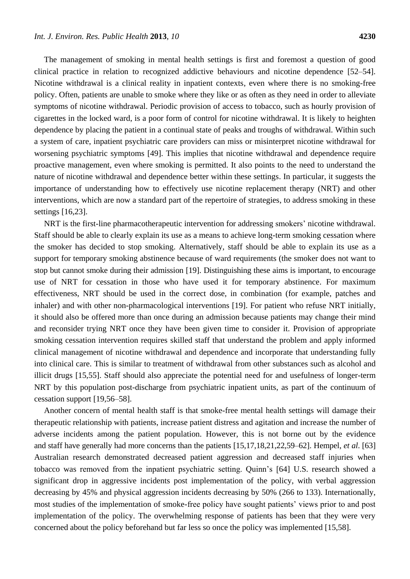The management of smoking in mental health settings is first and foremost a question of good clinical practice in relation to recognized addictive behaviours and nicotine dependence [52–54]. Nicotine withdrawal is a clinical reality in inpatient contexts, even where there is no smoking-free policy. Often, patients are unable to smoke where they like or as often as they need in order to alleviate symptoms of nicotine withdrawal. Periodic provision of access to tobacco, such as hourly provision of cigarettes in the locked ward, is a poor form of control for nicotine withdrawal. It is likely to heighten dependence by placing the patient in a continual state of peaks and troughs of withdrawal. Within such a system of care, inpatient psychiatric care providers can miss or misinterpret nicotine withdrawal for worsening psychiatric symptoms [49]. This implies that nicotine withdrawal and dependence require proactive management, even where smoking is permitted. It also points to the need to understand the nature of nicotine withdrawal and dependence better within these settings. In particular, it suggests the importance of understanding how to effectively use nicotine replacement therapy (NRT) and other interventions, which are now a standard part of the repertoire of strategies, to address smoking in these settings [16,23].

NRT is the first-line pharmacotherapeutic intervention for addressing smokers' nicotine withdrawal. Staff should be able to clearly explain its use as a means to achieve long-term smoking cessation where the smoker has decided to stop smoking. Alternatively, staff should be able to explain its use as a support for temporary smoking abstinence because of ward requirements (the smoker does not want to stop but cannot smoke during their admission [19]. Distinguishing these aims is important, to encourage use of NRT for cessation in those who have used it for temporary abstinence. For maximum effectiveness, NRT should be used in the correct dose, in combination (for example, patches and inhaler) and with other non-pharmacological interventions [19]. For patient who refuse NRT initially, it should also be offered more than once during an admission because patients may change their mind and reconsider trying NRT once they have been given time to consider it. Provision of appropriate smoking cessation intervention requires skilled staff that understand the problem and apply informed clinical management of nicotine withdrawal and dependence and incorporate that understanding fully into clinical care. This is similar to treatment of withdrawal from other substances such as alcohol and illicit drugs [15,55]. Staff should also appreciate the potential need for and usefulness of longer-term NRT by this population post-discharge from psychiatric inpatient units, as part of the continuum of cessation support [19,56–58].

Another concern of mental health staff is that smoke-free mental health settings will damage their therapeutic relationship with patients, increase patient distress and agitation and increase the number of adverse incidents among the patient population. However, this is not borne out by the evidence and staff have generally had more concerns than the patients [15,17,18,21,22,59–62]. Hempel, *et al*. [63] Australian research demonstrated decreased patient aggression and decreased staff injuries when tobacco was removed from the inpatient psychiatric setting. Quinn's [64] U.S. research showed a significant drop in aggressive incidents post implementation of the policy, with verbal aggression decreasing by 45% and physical aggression incidents decreasing by 50% (266 to 133). Internationally, most studies of the implementation of smoke-free policy have sought patients' views prior to and post implementation of the policy. The overwhelming response of patients has been that they were very concerned about the policy beforehand but far less so once the policy was implemented [15,58].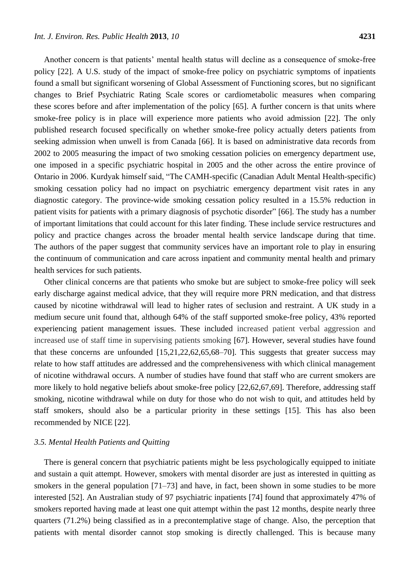Another concern is that patients' mental health status will decline as a consequence of smoke-free policy [22]. A U.S. study of the impact of smoke-free policy on psychiatric symptoms of inpatients found a small but significant worsening of Global Assessment of Functioning scores, but no significant changes to Brief Psychiatric Rating Scale scores or cardiometabolic measures when comparing these scores before and after implementation of the policy [65]. A further concern is that units where smoke-free policy is in place will experience more patients who avoid admission [22]. The only published research focused specifically on whether smoke-free policy actually deters patients from seeking admission when unwell is from Canada [66]. It is based on administrative data records from 2002 to 2005 measuring the impact of two smoking cessation policies on emergency department use, one imposed in a specific psychiatric hospital in 2005 and the other across the entire province of Ontario in 2006. Kurdyak himself said, "The CAMH-specific (Canadian Adult Mental Health-specific) smoking cessation policy had no impact on psychiatric emergency department visit rates in any diagnostic category. The province-wide smoking cessation policy resulted in a 15.5% reduction in patient visits for patients with a primary diagnosis of psychotic disorder" [66]. The study has a number of important limitations that could account for this later finding. These include service restructures and policy and practice changes across the broader mental health service landscape during that time. The authors of the paper suggest that community services have an important role to play in ensuring the continuum of communication and care across inpatient and community mental health and primary health services for such patients.

Other clinical concerns are that patients who smoke but are subject to smoke-free policy will seek early discharge against medical advice, that they will require more PRN medication, and that distress caused by nicotine withdrawal will lead to higher rates of seclusion and restraint. A UK study in a medium secure unit found that, although 64% of the staff supported smoke-free policy, 43% reported experiencing patient management issues. These included increased patient verbal aggression and increased use of staff time in supervising patients smoking [67]. However, several studies have found that these concerns are unfounded [15,21,22,62,65,68–70]. This suggests that greater success may relate to how staff attitudes are addressed and the comprehensiveness with which clinical management of nicotine withdrawal occurs. A number of studies have found that staff who are current smokers are more likely to hold negative beliefs about smoke-free policy [22,62,67,69]. Therefore, addressing staff smoking, nicotine withdrawal while on duty for those who do not wish to quit, and attitudes held by staff smokers, should also be a particular priority in these settings [15]. This has also been recommended by NICE [22].

## *3.5. Mental Health Patients and Quitting*

There is general concern that psychiatric patients might be less psychologically equipped to initiate and sustain a quit attempt. However, smokers with mental disorder are just as interested in quitting as smokers in the general population [71–73] and have, in fact, been shown in some studies to be more interested [52]. An Australian study of 97 psychiatric inpatients [74] found that approximately 47% of smokers reported having made at least one quit attempt within the past 12 months, despite nearly three quarters (71.2%) being classified as in a precontemplative stage of change. Also, the perception that patients with mental disorder cannot stop smoking is directly challenged. This is because many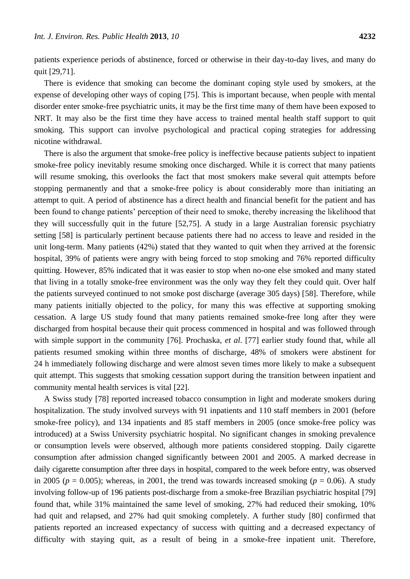patients experience periods of abstinence, forced or otherwise in their day-to-day lives, and many do quit [29,71].

There is evidence that smoking can become the dominant coping style used by smokers, at the expense of developing other ways of coping [75]. This is important because, when people with mental disorder enter smoke-free psychiatric units, it may be the first time many of them have been exposed to NRT. It may also be the first time they have access to trained mental health staff support to quit smoking. This support can involve psychological and practical coping strategies for addressing nicotine withdrawal.

There is also the argument that smoke-free policy is ineffective because patients subject to inpatient smoke-free policy inevitably resume smoking once discharged. While it is correct that many patients will resume smoking, this overlooks the fact that most smokers make several quit attempts before stopping permanently and that a smoke-free policy is about considerably more than initiating an attempt to quit. A period of abstinence has a direct health and financial benefit for the patient and has been found to change patients' perception of their need to smoke, thereby increasing the likelihood that they will successfully quit in the future [52,75]. A study in a large Australian forensic psychiatry setting [58] is particularly pertinent because patients there had no access to leave and resided in the unit long-term. Many patients (42%) stated that they wanted to quit when they arrived at the forensic hospital, 39% of patients were angry with being forced to stop smoking and 76% reported difficulty quitting. However, 85% indicated that it was easier to stop when no-one else smoked and many stated that living in a totally smoke-free environment was the only way they felt they could quit. Over half the patients surveyed continued to not smoke post discharge (average 305 days) [58]. Therefore, while many patients initially objected to the policy, for many this was effective at supporting smoking cessation. A large US study found that many patients remained smoke-free long after they were discharged from hospital because their quit process commenced in hospital and was followed through with simple support in the community [76]. Prochaska, *et al*. [77] earlier study found that, while all patients resumed smoking within three months of discharge, 48% of smokers were abstinent for 24 h immediately following discharge and were almost seven times more likely to make a subsequent quit attempt. This suggests that smoking cessation support during the transition between inpatient and community mental health services is vital [22].

A Swiss study [78] reported increased tobacco consumption in light and moderate smokers during hospitalization. The study involved surveys with 91 inpatients and 110 staff members in 2001 (before smoke-free policy), and 134 inpatients and 85 staff members in 2005 (once smoke-free policy was introduced) at a Swiss University psychiatric hospital. No significant changes in smoking prevalence or consumption levels were observed, although more patients considered stopping. Daily cigarette consumption after admission changed significantly between 2001 and 2005. A marked decrease in daily cigarette consumption after three days in hospital, compared to the week before entry, was observed in 2005 ( $p = 0.005$ ); whereas, in 2001, the trend was towards increased smoking ( $p = 0.06$ ). A study involving follow-up of 196 patients post-discharge from a smoke-free Brazilian psychiatric hospital [79] found that, while 31% maintained the same level of smoking, 27% had reduced their smoking, 10% had quit and relapsed, and 27% had quit smoking completely. A further study [80] confirmed that patients reported an increased expectancy of success with quitting and a decreased expectancy of difficulty with staying quit, as a result of being in a smoke-free inpatient unit. Therefore,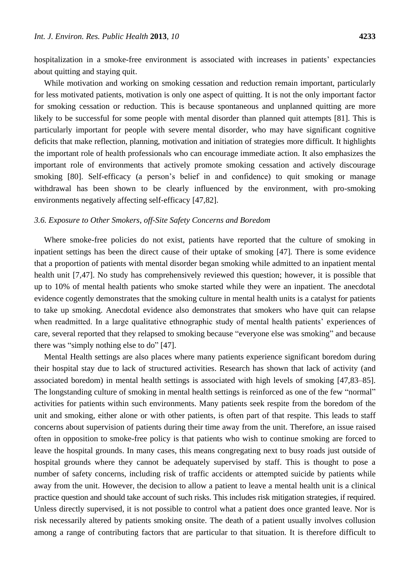hospitalization in a smoke-free environment is associated with increases in patients' expectancies about quitting and staying quit.

While motivation and working on smoking cessation and reduction remain important, particularly for less motivated patients, motivation is only one aspect of quitting. It is not the only important factor for smoking cessation or reduction. This is because spontaneous and unplanned quitting are more likely to be successful for some people with mental disorder than planned quit attempts [81]. This is particularly important for people with severe mental disorder, who may have significant cognitive deficits that make reflection, planning, motivation and initiation of strategies more difficult. It highlights the important role of health professionals who can encourage immediate action. It also emphasizes the important role of environments that actively promote smoking cessation and actively discourage smoking [80]. Self-efficacy (a person's belief in and confidence) to quit smoking or manage withdrawal has been shown to be clearly influenced by the environment, with pro-smoking environments negatively affecting self-efficacy [47,82].

#### *3.6. Exposure to Other Smokers, off-Site Safety Concerns and Boredom*

Where smoke-free policies do not exist, patients have reported that the culture of smoking in inpatient settings has been the direct cause of their uptake of smoking [47]. There is some evidence that a proportion of patients with mental disorder began smoking while admitted to an inpatient mental health unit [7,47]. No study has comprehensively reviewed this question; however, it is possible that up to 10% of mental health patients who smoke started while they were an inpatient. The anecdotal evidence cogently demonstrates that the smoking culture in mental health units is a catalyst for patients to take up smoking. Anecdotal evidence also demonstrates that smokers who have quit can relapse when readmitted. In a large qualitative ethnographic study of mental health patients' experiences of care, several reported that they relapsed to smoking because "everyone else was smoking" and because there was "simply nothing else to do" [47].

Mental Health settings are also places where many patients experience significant boredom during their hospital stay due to lack of structured activities. Research has shown that lack of activity (and associated boredom) in mental health settings is associated with high levels of smoking [47,83–85]. The longstanding culture of smoking in mental health settings is reinforced as one of the few "normal" activities for patients within such environments. Many patients seek respite from the boredom of the unit and smoking, either alone or with other patients, is often part of that respite. This leads to staff concerns about supervision of patients during their time away from the unit. Therefore, an issue raised often in opposition to smoke-free policy is that patients who wish to continue smoking are forced to leave the hospital grounds. In many cases, this means congregating next to busy roads just outside of hospital grounds where they cannot be adequately supervised by staff. This is thought to pose a number of safety concerns, including risk of traffic accidents or attempted suicide by patients while away from the unit. However, the decision to allow a patient to leave a mental health unit is a clinical practice question and should take account of such risks. This includes risk mitigation strategies, if required. Unless directly supervised, it is not possible to control what a patient does once granted leave. Nor is risk necessarily altered by patients smoking onsite. The death of a patient usually involves collusion among a range of contributing factors that are particular to that situation. It is therefore difficult to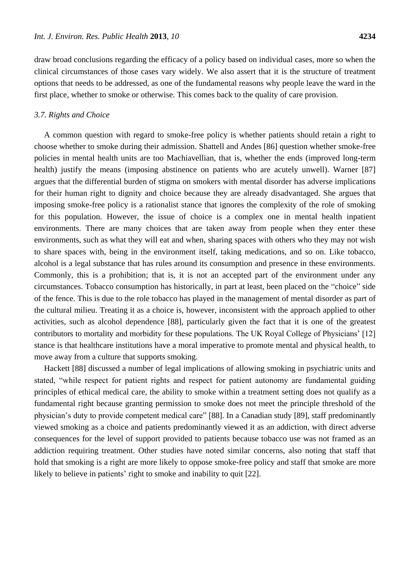draw broad conclusions regarding the efficacy of a policy based on individual cases, more so when the clinical circumstances of those cases vary widely. We also assert that it is the structure of treatment options that needs to be addressed, as one of the fundamental reasons why people leave the ward in the first place, whether to smoke or otherwise. This comes back to the quality of care provision.

## *3.7. Rights and Choice*

A common question with regard to smoke-free policy is whether patients should retain a right to choose whether to smoke during their admission. Shattell and Andes [86] question whether smoke-free policies in mental health units are too Machiavellian, that is, whether the ends (improved long-term health) justify the means (imposing abstinence on patients who are acutely unwell). Warner [87] argues that the differential burden of stigma on smokers with mental disorder has adverse implications for their human right to dignity and choice because they are already disadvantaged. She argues that imposing smoke-free policy is a rationalist stance that ignores the complexity of the role of smoking for this population. However, the issue of choice is a complex one in mental health inpatient environments. There are many choices that are taken away from people when they enter these environments, such as what they will eat and when, sharing spaces with others who they may not wish to share spaces with, being in the environment itself, taking medications, and so on. Like tobacco, alcohol is a legal substance that has rules around its consumption and presence in these environments. Commonly, this is a prohibition; that is, it is not an accepted part of the environment under any circumstances. Tobacco consumption has historically, in part at least, been placed on the "choice" side of the fence. This is due to the role tobacco has played in the management of mental disorder as part of the cultural milieu. Treating it as a choice is, however, inconsistent with the approach applied to other activities, such as alcohol dependence [88], particularly given the fact that it is one of the greatest contributors to mortality and morbidity for these populations. The UK Royal College of Physicians' [12] stance is that healthcare institutions have a moral imperative to promote mental and physical health, to move away from a culture that supports smoking.

Hackett [88] discussed a number of legal implications of allowing smoking in psychiatric units and stated, "while respect for patient rights and respect for patient autonomy are fundamental guiding principles of ethical medical care, the ability to smoke within a treatment setting does not qualify as a fundamental right because granting permission to smoke does not meet the principle threshold of the physician's duty to provide competent medical care" [88]. In a Canadian study [89], staff predominantly viewed smoking as a choice and patients predominantly viewed it as an addiction, with direct adverse consequences for the level of support provided to patients because tobacco use was not framed as an addiction requiring treatment. Other studies have noted similar concerns, also noting that staff that hold that smoking is a right are more likely to oppose smoke-free policy and staff that smoke are more likely to believe in patients' right to smoke and inability to quit [22].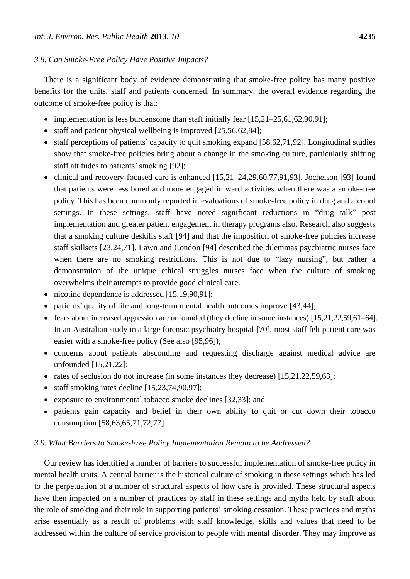## *3.8. Can Smoke-Free Policy Have Positive Impacts?*

There is a significant body of evidence demonstrating that smoke-free policy has many positive benefits for the units, staff and patients concerned. In summary, the overall evidence regarding the outcome of smoke-free policy is that:

- implementation is less burdensome than staff initially fear  $[15,21-25,61,62,90,91]$ ;
- staff and patient physical wellbeing is improved  $[25,56,62,84]$ ;
- staff perceptions of patients' capacity to quit smoking expand [58,62,71,92]. Longitudinal studies show that smoke-free policies bring about a change in the smoking culture, particularly shifting staff attitudes to patients' smoking [92];
- clinical and recovery-focused care is enhanced  $[15,21-24,29,60,77,91,93]$ . Jochelson [93] found that patients were less bored and more engaged in ward activities when there was a smoke-free policy. This has been commonly reported in evaluations of smoke-free policy in drug and alcohol settings. In these settings, staff have noted significant reductions in "drug talk" post implementation and greater patient engagement in therapy programs also. Research also suggests that a smoking culture deskills staff [94] and that the imposition of smoke-free policies increase staff skillsets [23,24,71]. Lawn and Condon [94] described the dilemmas psychiatric nurses face when there are no smoking restrictions. This is not due to "lazy nursing", but rather a demonstration of the unique ethical struggles nurses face when the culture of smoking overwhelms their attempts to provide good clinical care.
- nicotine dependence is addressed [15,19,90,91];
- patients' quality of life and long-term mental health outcomes improve [43,44];
- fears about increased aggression are unfounded (they decline in some instances) [15,21,22,59,61–64]. In an Australian study in a large forensic psychiatry hospital [70], most staff felt patient care was easier with a smoke-free policy (See also [95,96]);
- concerns about patients absconding and requesting discharge against medical advice are unfounded [15,21,22];
- rates of seclusion do not increase (in some instances they decrease) [15,21,22,59,63];
- $\bullet$  staff smoking rates decline [15,23,74,90,97];
- exposure to environmental tobacco smoke declines [32,33]; and
- patients gain capacity and belief in their own ability to quit or cut down their tobacco consumption [58,63,65,71,72,77].

## *3.9. What Barriers to Smoke-Free Policy Implementation Remain to be Addressed?*

Our review has identified a number of barriers to successful implementation of smoke-free policy in mental health units. A central barrier is the historical culture of smoking in these settings which has led to the perpetuation of a number of structural aspects of how care is provided. These structural aspects have then impacted on a number of practices by staff in these settings and myths held by staff about the role of smoking and their role in supporting patients' smoking cessation. These practices and myths arise essentially as a result of problems with staff knowledge, skills and values that need to be addressed within the culture of service provision to people with mental disorder. They may improve as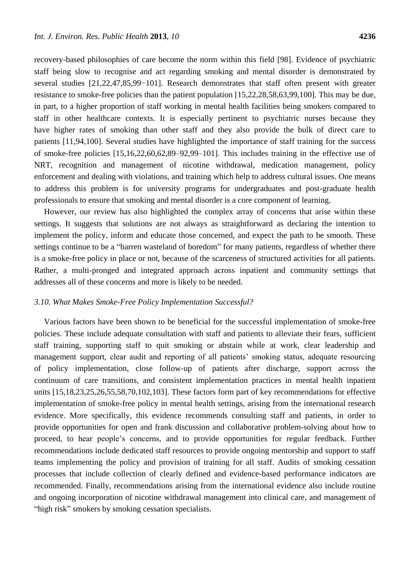recovery-based philosophies of care become the norm within this field [98]. Evidence of psychiatric staff being slow to recognise and act regarding smoking and mental disorder is demonstrated by several studies [21,22,47,85,99−101]. Research demonstrates that staff often present with greater resistance to smoke-free policies than the patient population [15,22,28,58,63,99,100]. This may be due, in part, to a higher proportion of staff working in mental health facilities being smokers compared to staff in other healthcare contexts. It is especially pertinent to psychiatric nurses because they have higher rates of smoking than other staff and they also provide the bulk of direct care to patients [11,94,100]. Several studies have highlighted the importance of staff training for the success of smoke-free policies [15,16,22,60,62,89–92,99–101]. This includes training in the effective use of NRT, recognition and management of nicotine withdrawal, medication management, policy enforcement and dealing with violations, and training which help to address cultural issues. One means to address this problem is for university programs for undergraduates and post-graduate health professionals to ensure that smoking and mental disorder is a core component of learning.

However, our review has also highlighted the complex array of concerns that arise within these settings. It suggests that solutions are not always as straightforward as declaring the intention to implement the policy, inform and educate those concerned, and expect the path to be smooth. These settings continue to be a "barren wasteland of boredom" for many patients, regardless of whether there is a smoke-free policy in place or not, because of the scarceness of structured activities for all patients. Rather, a multi-pronged and integrated approach across inpatient and community settings that addresses all of these concerns and more is likely to be needed.

### *3.10. What Makes Smoke-Free Policy Implementation Successful?*

Various factors have been shown to be beneficial for the successful implementation of smoke-free policies. These include adequate consultation with staff and patients to alleviate their fears, sufficient staff training, supporting staff to quit smoking or abstain while at work, clear leadership and management support, clear audit and reporting of all patients' smoking status, adequate resourcing of policy implementation, close follow-up of patients after discharge, support across the continuum of care transitions, and consistent implementation practices in mental health inpatient units [15,18,23,25,26,55,58,70,102,103]. These factors form part of key recommendations for effective implementation of smoke-free policy in mental health settings, arising from the international research evidence. More specifically, this evidence recommends consulting staff and patients, in order to provide opportunities for open and frank discussion and collaborative problem-solving about how to proceed, to hear people's concerns, and to provide opportunities for regular feedback. Further recommendations include dedicated staff resources to provide ongoing mentorship and support to staff teams implementing the policy and provision of training for all staff. Audits of smoking cessation processes that include collection of clearly defined and evidence-based performance indicators are recommended. Finally, recommendations arising from the international evidence also include routine and ongoing incorporation of nicotine withdrawal management into clinical care, and management of "high risk" smokers by smoking cessation specialists.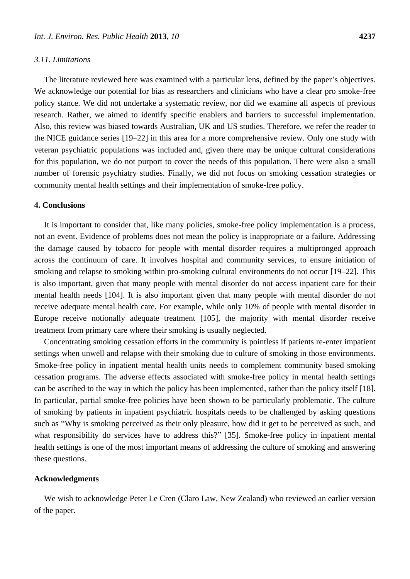## *3.11. Limitations*

The literature reviewed here was examined with a particular lens, defined by the paper's objectives. We acknowledge our potential for bias as researchers and clinicians who have a clear pro smoke-free policy stance. We did not undertake a systematic review, nor did we examine all aspects of previous research. Rather, we aimed to identify specific enablers and barriers to successful implementation. Also, this review was biased towards Australian, UK and US studies. Therefore, we refer the reader to the NICE guidance series [19–22] in this area for a more comprehensive review. Only one study with veteran psychiatric populations was included and, given there may be unique cultural considerations for this population, we do not purport to cover the needs of this population. There were also a small number of forensic psychiatry studies. Finally, we did not focus on smoking cessation strategies or community mental health settings and their implementation of smoke-free policy.

#### **4. Conclusions**

It is important to consider that, like many policies, smoke-free policy implementation is a process, not an event. Evidence of problems does not mean the policy is inappropriate or a failure. Addressing the damage caused by tobacco for people with mental disorder requires a multipronged approach across the continuum of care. It involves hospital and community services, to ensure initiation of smoking and relapse to smoking within pro-smoking cultural environments do not occur [19–22]. This is also important, given that many people with mental disorder do not access inpatient care for their mental health needs [104]. It is also important given that many people with mental disorder do not receive adequate mental health care. For example, while only 10% of people with mental disorder in Europe receive notionally adequate treatment [105], the majority with mental disorder receive treatment from primary care where their smoking is usually neglected.

Concentrating smoking cessation efforts in the community is pointless if patients re-enter impatient settings when unwell and relapse with their smoking due to culture of smoking in those environments. Smoke-free policy in inpatient mental health units needs to complement community based smoking cessation programs. The adverse effects associated with smoke-free policy in mental health settings can be ascribed to the way in which the policy has been implemented, rather than the policy itself [18]. In particular, partial smoke-free policies have been shown to be particularly problematic. The culture of smoking by patients in inpatient psychiatric hospitals needs to be challenged by asking questions such as "Why is smoking perceived as their only pleasure, how did it get to be perceived as such, and what responsibility do services have to address this?" [35]. Smoke-free policy in inpatient mental health settings is one of the most important means of addressing the culture of smoking and answering these questions.

## **Acknowledgments**

We wish to acknowledge Peter Le Cren (Claro Law, New Zealand) who reviewed an earlier version of the paper.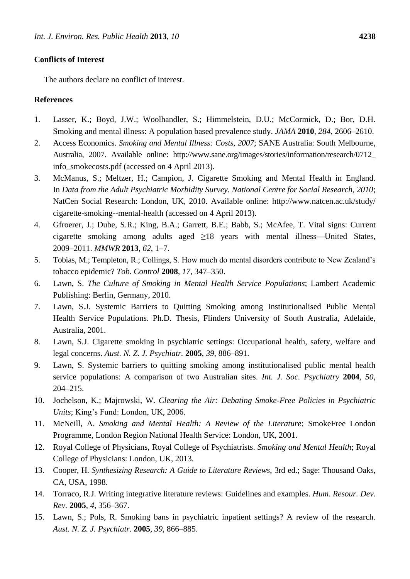## **Conflicts of Interest**

The authors declare no conflict of interest.

## **References**

- 1. Lasser, K.; Boyd, J.W.; Woolhandler, S.; Himmelstein, D.U.; McCormick, D.; Bor, D.H. Smoking and mental illness: A population based prevalence study. *JAMA* **2010**, *284*, 2606–2610.
- 2. Access Economics. *Smoking and Mental Illness: Costs, 2007*; SANE Australia: South Melbourne, Australia, 2007. Available online: http://www.sane.org/images/stories/information/research/0712\_ info\_smokecosts.pdf (accessed on 4 April 2013).
- 3. McManus, S.; Meltzer, H.; Campion, J. Cigarette Smoking and Mental Health in England. In *Data from the Adult Psychiatric Morbidity Survey. National Centre for Social Research, 2010*; NatCen Social Research: London, UK, 2010. Available online: http://www.natcen.ac.uk/study/ cigarette-smoking--mental-health (accessed on 4 April 2013).
- 4. Gfroerer, J.; Dube, S.R.; King, B.A.; Garrett, B.E.; Babb, S.; McAfee, T. Vital signs: Current cigarette smoking among adults aged  $\geq$ 18 years with mental illness—United States, 2009–2011. *MMWR* **2013**, *62*, 1–7.
- 5. Tobias, M.; Templeton, R.; Collings, S. How much do mental disorders contribute to New Zealand's tobacco epidemic? *Tob. Control* **2008**, *17*, 347–350.
- 6. Lawn, S. *The Culture of Smoking in Mental Health Service Populations*; Lambert Academic Publishing: Berlin, Germany, 2010.
- 7. Lawn, S.J. Systemic Barriers to Quitting Smoking among Institutionalised Public Mental Health Service Populations. Ph.D. Thesis, Flinders University of South Australia, Adelaide, Australia, 2001.
- 8. Lawn, S.J. Cigarette smoking in psychiatric settings: Occupational health, safety, welfare and legal concerns. *Aust. N. Z. J. Psychiatr.* **2005**, *39*, 886–891.
- 9. Lawn, S. Systemic barriers to quitting smoking among institutionalised public mental health service populations: A comparison of two Australian sites. *Int. J. Soc. Psychiatry* **2004**, *50*, 204–215.
- 10. Jochelson, K.; Majrowski, W. *Clearing the Air: Debating Smoke-Free Policies in Psychiatric Units*; King's Fund: London, UK, 2006.
- 11. McNeill, A. *Smoking and Mental Health: A Review of the Literature*; SmokeFree London Programme, London Region National Health Service: London, UK, 2001.
- 12. Royal College of Physicians, Royal College of Psychiatrists. *Smoking and Mental Health*; Royal College of Physicians: London, UK, 2013.
- 13. Cooper, H. *Synthesizing Research: A Guide to Literature Reviews*, 3rd ed.; Sage: Thousand Oaks, CA, USA, 1998.
- 14. Torraco, R.J. Writing integrative literature reviews: Guidelines and examples. *Hum. Resour. Dev. Rev.* **2005**, *4*, 356–367.
- 15. Lawn, S.; Pols, R. Smoking bans in psychiatric inpatient settings? A review of the research. *Aust. N. Z. J. Psychiatr.* **2005**, *39*, 866–885.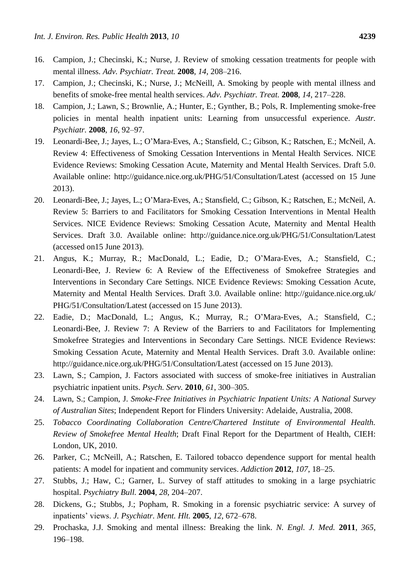- 16. Campion, J.; Checinski, K.; Nurse, J. Review of smoking cessation treatments for people with mental illness. *Adv. Psychiatr. Treat.* **2008**, *14*, 208–216.
- 17. Campion, J.; Checinski, K.; Nurse, J.; McNeill, A. Smoking by people with mental illness and benefits of smoke-free mental health services. *Adv. Psychiatr. Treat.* **2008**, *14*, 217–228.
- 18. Campion, J.; Lawn, S.; Brownlie, A.; Hunter, E.; Gynther, B.; Pols, R. Implementing smoke-free policies in mental health inpatient units: Learning from unsuccessful experience. *Austr. Psychiatr.* **2008**, *16*, 92–97.
- 19. Leonardi-Bee, J.; Jayes, L.; O'Mara-Eves, A.; Stansfield, C.; Gibson, K.; Ratschen, E.; McNeil, A. Review 4: Effectiveness of Smoking Cessation Interventions in Mental Health Services. NICE Evidence Reviews: Smoking Cessation Acute, Maternity and Mental Health Services. Draft 5.0. Available online: http://guidance.nice.org.uk/PHG/51/Consultation/Latest (accessed on 15 June 2013).
- 20. Leonardi-Bee, J.; Jayes, L.; O'Mara-Eves, A.; Stansfield, C.; Gibson, K.; Ratschen, E.; McNeil, A. Review 5: Barriers to and Facilitators for Smoking Cessation Interventions in Mental Health Services. NICE Evidence Reviews: Smoking Cessation Acute, Maternity and Mental Health Services. Draft 3.0. Available online: http://guidance.nice.org.uk/PHG/51/Consultation/Latest (accessed on15 June 2013).
- 21. Angus, K.; Murray, R.; MacDonald, L.; Eadie, D.; O'Mara-Eves, A.; Stansfield, C.; Leonardi-Bee, J. Review 6: A Review of the Effectiveness of Smokefree Strategies and Interventions in Secondary Care Settings. NICE Evidence Reviews: Smoking Cessation Acute, Maternity and Mental Health Services. Draft 3.0. Available online: http://guidance.nice.org.uk/ PHG/51/Consultation/Latest (accessed on 15 June 2013).
- 22. Eadie, D.; MacDonald, L.; Angus, K.; Murray, R.; O'Mara-Eves, A.; Stansfield, C.; Leonardi-Bee, J. Review 7: A Review of the Barriers to and Facilitators for Implementing Smokefree Strategies and Interventions in Secondary Care Settings. NICE Evidence Reviews: Smoking Cessation Acute, Maternity and Mental Health Services. Draft 3.0. Available online: http://guidance.nice.org.uk/PHG/51/Consultation/Latest (accessed on 15 June 2013).
- 23. Lawn, S.; Campion, J. Factors associated with success of smoke-free initiatives in Australian psychiatric inpatient units. *Psych. Serv.* **2010**, *61*, 300–305.
- 24. Lawn, S.; Campion, J. *Smoke-Free Initiatives in Psychiatric Inpatient Units: A National Survey of Australian Sites*; Independent Report for Flinders University: Adelaide, Australia, 2008.
- 25. *Tobacco Coordinating Collaboration Centre/Chartered Institute of Environmental Health. Review of Smokefree Mental Health*; Draft Final Report for the Department of Health, CIEH: London, UK, 2010.
- 26. Parker, C.; McNeill, A.; Ratschen, E. Tailored tobacco dependence support for mental health patients: A model for inpatient and community services. *Addiction* **2012**, *107*, 18–25.
- 27. Stubbs, J.; Haw, C.; Garner, L. Survey of staff attitudes to smoking in a large psychiatric hospital. *Psychiatry Bull.* **2004**, *28*, 204–207.
- 28. Dickens, G.; Stubbs, J.; Popham, R. Smoking in a forensic psychiatric service: A survey of inpatients' views. *J. Psychiatr. Ment. Hlt.* **2005**, *12*, 672–678.
- 29. Prochaska, J.J. Smoking and mental illness: Breaking the link. *N. Engl. J. Med.* **2011**, *365*, 196–198.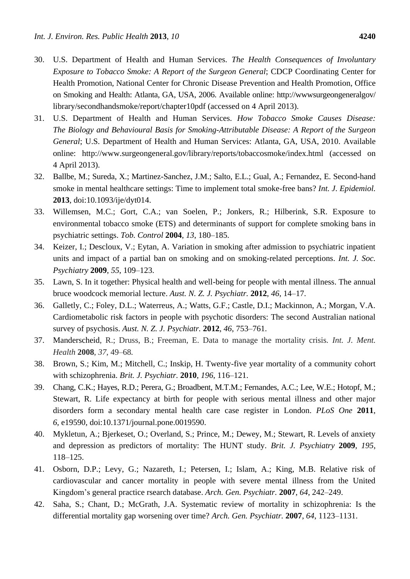- 30. U.S. Department of Health and Human Services. *The Health Consequences of Involuntary Exposure to Tobacco Smoke: A Report of the Surgeon General*; CDCP Coordinating Center for Health Promotion, National Center for Chronic Disease Prevention and Health Promotion, Office on Smoking and Health: Atlanta, GA, USA, 2006. Available online: http://wwwsurgeongeneralgov/ library/secondhandsmoke/report/chapter10pdf (accessed on 4 April 2013).
- 31. U.S. Department of Health and Human Services. *How Tobacco Smoke Causes Disease: The Biology and Behavioural Basis for Smoking-Attributable Disease: A Report of the Surgeon General*; U.S. Department of Health and Human Services: Atlanta, GA, USA, 2010. Available online: http://www.surgeongeneral.gov/library/reports/tobaccosmoke/index.html (accessed on 4 April 2013).
- 32. Ballbe, M.; Sureda, X.; Martinez-Sanchez, J.M.; Salto, E.L.; Gual, A.; Fernandez, E. Second-hand smoke in mental healthcare settings: Time to implement total smoke-free bans? *Int. J. Epidemiol.* **2013**, doi:10.1093/ije/dyt014.
- 33. Willemsen, M.C.; Gort, C.A.; van Soelen, P.; Jonkers, R.; Hilberink, S.R. Exposure to environmental tobacco smoke (ETS) and determinants of support for complete smoking bans in psychiatric settings. *Tob. Control* **2004**, *13*, 180–185.
- 34. Keizer, I.; Descloux, V.; Eytan, A. Variation in smoking after admission to psychiatric inpatient units and impact of a partial ban on smoking and on smoking-related perceptions. *Int. J. Soc. Psychiatry* **2009**, *55*, 109–123.
- 35. Lawn, S. In it together: Physical health and well-being for people with mental illness. The annual bruce woodcock memorial lecture. *Aust. N. Z. J. Psychiatr.* **2012**, *46*, 14–17.
- 36. Galletly, C.; Foley, D.L.; Waterreus, A.; Watts, G.F.; Castle, D.I.; Mackinnon, A.; Morgan, V.A. Cardiometabolic risk factors in people with psychotic disorders: The second Australian national survey of psychosis. *Aust. N. Z. J. Psychiatr.* **2012**, *46*, 753–761.
- 37. Manderscheid, R.; Druss, B.; Freeman, E. Data to manage the mortality crisis*. Int. J. Ment. Health* **2008**, *37*, 49–68*.*
- 38. Brown, S.; Kim, M.; Mitchell, C.; Inskip, H. Twenty-five year mortality of a community cohort with schizophrenia. *Brit. J. Psychiatr.* **2010**, *196*, 116–121.
- 39. Chang, C.K.; Hayes, R.D.; Perera, G.; Broadbent, M.T.M.; Fernandes, A.C.; Lee, W.E.; Hotopf, M.; Stewart, R. Life expectancy at birth for people with serious mental illness and other major disorders form a secondary mental health care case register in London. *PLoS One* **2011**, *6*, e19590, doi:10.1371/journal.pone.0019590.
- 40. Mykletun, A.; Bjerkeset, O.; Overland, S.; Prince, M.; Dewey, M.; Stewart, R. Levels of anxiety and depression as predictors of mortality: The HUNT study*. Brit. J. Psychiatry* **2009**, *195*, 118–125.
- 41. Osborn, D.P.; Levy, G.; Nazareth, I.; Petersen, I.; Islam, A.; King, M.B. Relative risk of cardiovascular and cancer mortality in people with severe mental illness from the United Kingdom's general practice rsearch database. *Arch. Gen. Psychiatr.* **2007**, *64*, 242–249.
- 42. Saha, S.; Chant, D.; McGrath, J.A. Systematic review of mortality in schizophrenia: Is the differential mortality gap worsening over time? *Arch. Gen. Psychiatr.* **2007**, *64*, 1123–1131.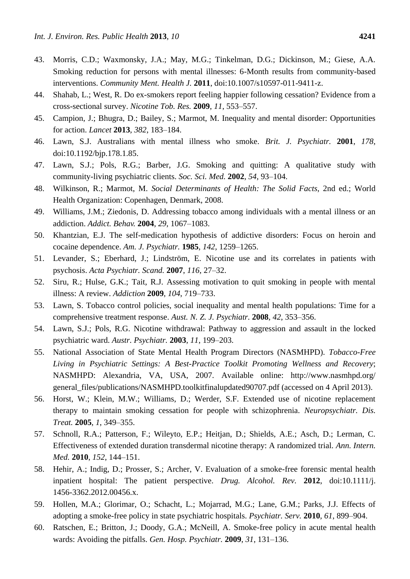- 43. Morris, C.D.; Waxmonsky, J.A.; May, M.G.; Tinkelman, D.G.; Dickinson, M.; Giese, A.A. Smoking reduction for persons with mental illnesses: 6-Month results from community-based interventions. *Community Ment. Health J.* **2011**, doi:10.1007/s10597-011-9411-z.
- 44. Shahab, L.; West, R. Do ex-smokers report feeling happier following cessation? Evidence from a cross-sectional survey. *Nicotine Tob. Res.* **2009**, *11*, 553–557.
- 45. Campion, J.; Bhugra, D.; Bailey, S.; Marmot, M. Inequality and mental disorder: Opportunities for action. *Lancet* **2013**, *382*, 183–184.
- 46. Lawn, S.J. Australians with mental illness who smoke. *Brit. J. Psychiatr.* **2001**, *178*, doi:10.1192/bjp.178.1.85.
- 47. Lawn, S.J.; Pols, R.G.; Barber, J.G. Smoking and quitting: A qualitative study with community-living psychiatric clients. *Soc. Sci. Med.* **2002**, *54*, 93–104.
- 48. Wilkinson, R.; Marmot, M. *Social Determinants of Health: The Solid Facts*, 2nd ed.; World Health Organization: Copenhagen, Denmark, 2008.
- 49. Williams, J.M.; Ziedonis, D. Addressing tobacco among individuals with a mental illness or an addiction. *Addict. Behav.* **2004**, *29*, 1067–1083.
- 50. Khantzian, E.J. The self-medication hypothesis of addictive disorders: Focus on heroin and cocaine dependence. *Am. J. Psychiatr.* **1985**, *142*, 1259–1265.
- 51. Levander, S.; Eberhard, J.; Lindström, E. Nicotine use and its correlates in patients with psychosis. *Acta Psychiatr. Scand.* **2007**, *116*, 27–32.
- 52. Siru, R.; Hulse, G.K.; Tait, R.J. Assessing motivation to quit smoking in people with mental illness: A review. *Addiction* **2009**, *104*, 719–733.
- 53. Lawn, S. Tobacco control policies, social inequality and mental health populations: Time for a comprehensive treatment response. *Aust. N. Z. J. Psychiatr.* **2008**, *42*, 353–356.
- 54. Lawn, S.J.; Pols, R.G. Nicotine withdrawal: Pathway to aggression and assault in the locked psychiatric ward. *Austr. Psychiatr.* **2003**, *11*, 199–203.
- 55. National Association of State Mental Health Program Directors (NASMHPD). *Tobacco-Free Living in Psychiatric Settings: A Best-Practice Toolkit Promoting Wellness and Recovery*; NASMHPD: Alexandria, VA, USA, 2007. Available online: http://www.nasmhpd.org/ general\_files/publications/NASMHPD.toolkitfinalupdated90707.pdf (accessed on 4 April 2013).
- 56. Horst, W.; Klein, M.W.; Williams, D.; Werder, S.F. Extended use of nicotine replacement therapy to maintain smoking cessation for people with schizophrenia. *Neuropsychiatr. Dis. Treat.* **2005**, *1*, 349–355.
- 57. Schnoll, R.A.; Patterson, F.; Wileyto, E.P.; Heitjan, D.; Shields, A.E.; Asch, D.; Lerman, C. Effectiveness of extended duration transdermal nicotine therapy: A randomized trial. *Ann. Intern. Med.* **2010**, *152*, 144–151.
- 58. Hehir, A.; Indig, D.; Prosser, S.; Archer, V. Evaluation of a smoke-free forensic mental health inpatient hospital: The patient perspective. *Drug. Alcohol. Rev.* **2012**, doi:10.1111/j. 1456-3362.2012.00456.x.
- 59. Hollen, M.A.; Glorimar, O.; Schacht, L.; Mojarrad, M.G.; Lane, G.M.; Parks, J.J. Effects of adopting a smoke-free policy in state psychiatric hospitals. *Psychiatr. Serv.* **2010**, *61*, 899–904.
- 60. Ratschen, E.; Britton, J.; Doody, G.A.; McNeill, A. Smoke-free policy in acute mental health wards: Avoiding the pitfalls. *Gen. Hosp. Psychiatr.* **2009**, *31*, 131–136.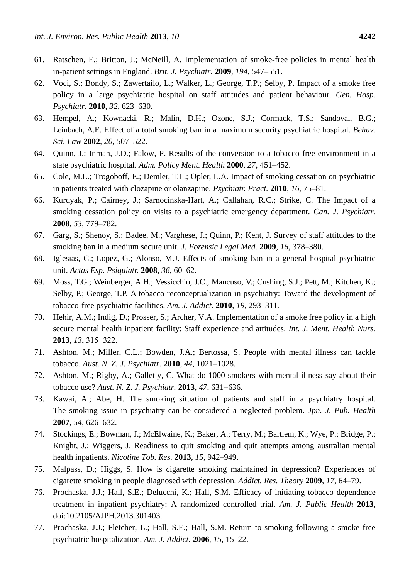- 61. Ratschen, E.; Britton, J.; McNeill, A. Implementation of smoke-free policies in mental health in-patient settings in England. *Brit. J. Psychiatr.* **2009**, *194*, 547–551.
- 62. Voci, S.; Bondy, S.; Zawertailo, L.; Walker, L.; George, T.P.; Selby, P. Impact of a smoke free policy in a large psychiatric hospital on staff attitudes and patient behaviour. *Gen. Hosp. Psychiatr.* **2010**, *32*, 623–630.
- 63. Hempel, A.; Kownacki, R.; Malin, D.H.; Ozone, S.J.; Cormack, T.S.; Sandoval, B.G.; Leinbach, A.E. Effect of a total smoking ban in a maximum security psychiatric hospital. *Behav. Sci. Law* **2002**, *20*, 507–522.
- 64. Quinn, J.; Inman, J.D.; Falow, P. Results of the conversion to a tobacco-free environment in a state psychiatric hospital. *Adm. Policy Ment. Health* **2000**, *27*, 451–452.
- 65. Cole, M.L.; Trogoboff, E.; Demler, T.L.; Opler, L.A. Impact of smoking cessation on psychiatric in patients treated with clozapine or olanzapine. *Psychiatr. Pract.* **2010**, *16*, 75–81.
- 66. Kurdyak, P.; Cairney, J.; Sarnocinska-Hart, A.; Callahan, R.C.; Strike, C. The Impact of a smoking cessation policy on visits to a psychiatric emergency department. *Can. J. Psychiatr.* **2008**, *53*, 779–782.
- 67. Garg, S.; Shenoy, S.; Badee, M.; Varghese, J.; Quinn, P.; Kent, J. Survey of staff attitudes to the smoking ban in a medium secure unit. *J. Forensic Legal Med.* **2009**, *16*, 378–380.
- 68. Iglesias, C.; Lopez, G.; Alonso, M.J. Effects of smoking ban in a general hospital psychiatric unit. *Actas Esp. Psiquiatr.* **2008**, *36*, 60–62.
- 69. Moss, T.G.; Weinberger, A.H.; Vessicchio, J.C.; Mancuso, V.; Cushing, S.J.; Pett, M.; Kitchen, K.; Selby, P.; George, T.P. A tobacco reconceptualization in psychiatry: Toward the development of tobacco-free psychiatric facilities. *Am. J. Addict.* **2010**, *19*, 293–311.
- 70. Hehir, A.M.; Indig, D.; Prosser, S.; Archer, V.A. Implementation of a smoke free policy in a high secure mental health inpatient facility: Staff experience and attitudes. *Int. J. Ment. Health Nurs.* **2013**, *13*, 315−322.
- 71. Ashton, M.; Miller, C.L.; Bowden, J.A.; Bertossa, S. People with mental illness can tackle tobacco. *Aust. N. Z. J. Psychiatr.* **2010**, *44*, 1021–1028.
- 72. Ashton, M.; Rigby, A.; Galletly, C. What do 1000 smokers with mental illness say about their tobacco use? *Aust. N. Z. J. Psychiatr.* **2013**, *47*, 631−636.
- 73. Kawai, A.; Abe, H. The smoking situation of patients and staff in a psychiatry hospital. The smoking issue in psychiatry can be considered a neglected problem. *Jpn. J. Pub. Health* **2007**, *54*, 626–632.
- 74. Stockings, E.; Bowman, J.; McElwaine, K.; Baker, A.; Terry, M.; Bartlem, K.; Wye, P.; Bridge, P.; Knight, J.; Wiggers, J. Readiness to quit smoking and quit attempts among australian mental health inpatients. *Nicotine Tob. Res.* **2013**, *15*, 942–949.
- 75. Malpass, D.; Higgs, S. How is cigarette smoking maintained in depression? Experiences of cigarette smoking in people diagnosed with depression. *Addict. Res. Theory* **2009**, *17*, 64–79.
- 76. Prochaska, J.J.; Hall, S.E.; Delucchi, K.; Hall, S.M. Efficacy of initiating tobacco dependence treatment in inpatient psychiatry: A randomized controlled trial. *Am. J. Public Health* **2013**, doi:10.2105/AJPH.2013.301403.
- 77. Prochaska, J.J.; Fletcher, L.; Hall, S.E.; Hall, S.M. Return to smoking following a smoke free psychiatric hospitalization. *Am. J. Addict.* **2006**, *15*, 15–22.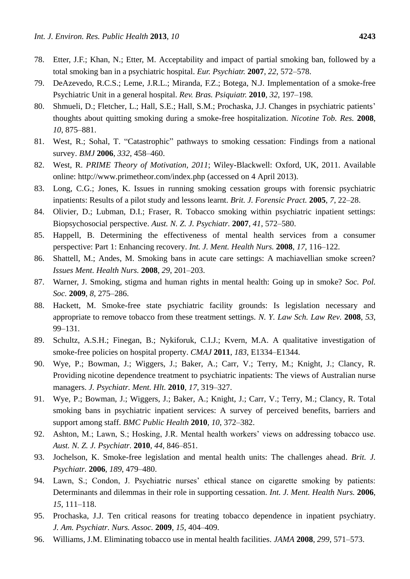- 78. Etter, J.F.; Khan, N.; Etter, M. Acceptability and impact of partial smoking ban, followed by a total smoking ban in a psychiatric hospital. *Eur. Psychiatr.* **2007**, *22*, 572–578.
- 79. DeAzevedo, R.C.S.; Leme, J.R.L.; Miranda, F.Z.; Botega, N.J. Implementation of a smoke-free Psychiatric Unit in a general hospital. *Rev. Bras. Psiquiatr.* **2010**, *32*, 197–198.
- 80. Shmueli, D.; Fletcher, L.; Hall, S.E.; Hall, S.M.; Prochaska, J.J. Changes in psychiatric patients' thoughts about quitting smoking during a smoke-free hospitalization. *Nicotine Tob. Res.* **2008**, *10*, 875–881.
- 81. West, R.; Sohal, T. "Catastrophic" pathways to smoking cessation: Findings from a national survey. *BMJ* **2006**, *332*, 458–460.
- 82. West, R. *PRIME Theory of Motivation, 2011*; Wiley-Blackwell: Oxford, UK, 2011. Available online: http://www.primetheor.com/index.php (accessed on 4 April 2013).
- 83. Long, C.G.; Jones, K. Issues in running smoking cessation groups with forensic psychiatric inpatients: Results of a pilot study and lessons learnt. *Brit. J. Forensic Pract.* **2005**, *7*, 22–28.
- 84. Olivier, D.; Lubman, D.I.; Fraser, R. Tobacco smoking within psychiatric inpatient settings: Biopsychosocial perspective. *Aust. N. Z. J. Psychiatr.* **2007**, *41*, 572–580.
- 85. Happell, B. Determining the effectiveness of mental health services from a consumer perspective: Part 1: Enhancing recovery. *Int. J. Ment. Health Nurs.* **2008**, *17*, 116–122.
- 86. Shattell, M.; Andes, M. Smoking bans in acute care settings: A machiavellian smoke screen? *Issues Ment. Health Nurs.* **2008**, *29*, 201–203.
- 87. Warner, J. Smoking, stigma and human rights in mental health: Going up in smoke? *Soc. Pol. Soc.* **2009**, *8*, 275–286.
- 88. Hackett, M. Smoke-free state psychiatric facility grounds: Is legislation necessary and appropriate to remove tobacco from these treatment settings. *N. Y. Law Sch. Law Rev.* **2008**, *53*, 99–131.
- 89. Schultz, A.S.H.; Finegan, B.; Nykiforuk, C.I.J.; Kvern, M.A. A qualitative investigation of smoke-free policies on hospital property. *CMAJ* **2011**, *183*, E1334–E1344.
- 90. Wye, P.; Bowman, J.; Wiggers, J.; Baker, A.; Carr, V.; Terry, M.; Knight, J.; Clancy, R. Providing nicotine dependence treatment to psychiatric inpatients: The views of Australian nurse managers. *J. Psychiatr. Ment. Hlt.* **2010**, *17*, 319–327.
- 91. Wye, P.; Bowman, J.; Wiggers, J.; Baker, A.; Knight, J.; Carr, V.; Terry, M.; Clancy, R. Total smoking bans in psychiatric inpatient services: A survey of perceived benefits, barriers and support among staff. *BMC Public Health* **2010**, *10*, 372–382.
- 92. Ashton, M.; Lawn, S.; Hosking, J.R. Mental health workers' views on addressing tobacco use. *Aust. N. Z. J. Psychiatr.* **2010**, *44*, 846–851.
- 93. Jochelson, K. Smoke-free legislation and mental health units: The challenges ahead. *Brit. J. Psychiatr.* **2006**, *189*, 479–480.
- 94. Lawn, S.; Condon, J. Psychiatric nurses' ethical stance on cigarette smoking by patients: Determinants and dilemmas in their role in supporting cessation. *Int. J. Ment. Health Nurs.* **2006**, *15*, 111–118.
- 95. Prochaska, J.J. Ten critical reasons for treating tobacco dependence in inpatient psychiatry. *J. Am. Psychiatr. Nurs. Assoc.* **2009**, *15*, 404–409.
- 96. Williams, J.M. Eliminating tobacco use in mental health facilities. *JAMA* **2008**, *299*, 571–573.